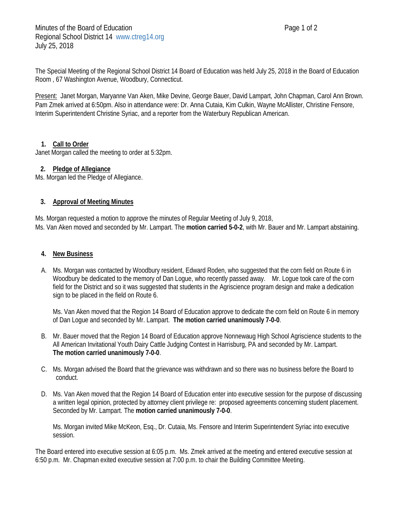The Special Meeting of the Regional School District 14 Board of Education was held July 25, 2018 in the Board of Education Room , 67 Washington Avenue, Woodbury, Connecticut.

Present: Janet Morgan, Maryanne Van Aken, Mike Devine, George Bauer, David Lampart, John Chapman, Carol Ann Brown. Pam Zmek arrived at 6:50pm. Also in attendance were: Dr. Anna Cutaia, Kim Culkin, Wayne McAllister, Christine Fensore, Interim Superintendent Christine Syriac, and a reporter from the Waterbury Republican American.

# **1. Call to Order**

Janet Morgan called the meeting to order at 5:32pm.

## **2. Pledge of Allegiance**

Ms. Morgan led the Pledge of Allegiance.

## **3. Approval of Meeting Minutes**

Ms. Morgan requested a motion to approve the minutes of Regular Meeting of July 9, 2018, Ms. Van Aken moved and seconded by Mr. Lampart. The **motion carried 5-0-2**, with Mr. Bauer and Mr. Lampart abstaining.

### **4. New Business**

A. Ms. Morgan was contacted by Woodbury resident, Edward Roden, who suggested that the corn field on Route 6 in Woodbury be dedicated to the memory of Dan Logue, who recently passed away. Mr. Logue took care of the corn field for the District and so it was suggested that students in the Agriscience program design and make a dedication sign to be placed in the field on Route 6.

Ms. Van Aken moved that the Region 14 Board of Education approve to dedicate the corn field on Route 6 in memory of Dan Logue and seconded by Mr. Lampart. **The motion carried unanimously 7-0-0**.

- B. Mr. Bauer moved that the Region 14 Board of Education approve Nonnewaug High School Agriscience students to the All American Invitational Youth Dairy Cattle Judging Contest in Harrisburg, PA and seconded by Mr. Lampart. **The motion carried unanimously 7-0-0**.
- C. Ms. Morgan advised the Board that the grievance was withdrawn and so there was no business before the Board to conduct.
- D. Ms. Van Aken moved that the Region 14 Board of Education enter into executive session for the purpose of discussing a written legal opinion, protected by attorney client privilege re: proposed agreements concerning student placement. Seconded by Mr. Lampart. The **motion carried unanimously 7-0-0**.

Ms. Morgan invited Mike McKeon, Esq., Dr. Cutaia, Ms. Fensore and Interim Superintendent Syriac into executive session.

The Board entered into executive session at 6:05 p.m. Ms. Zmek arrived at the meeting and entered executive session at 6:50 p.m. Mr. Chapman exited executive session at 7:00 p.m. to chair the Building Committee Meeting.